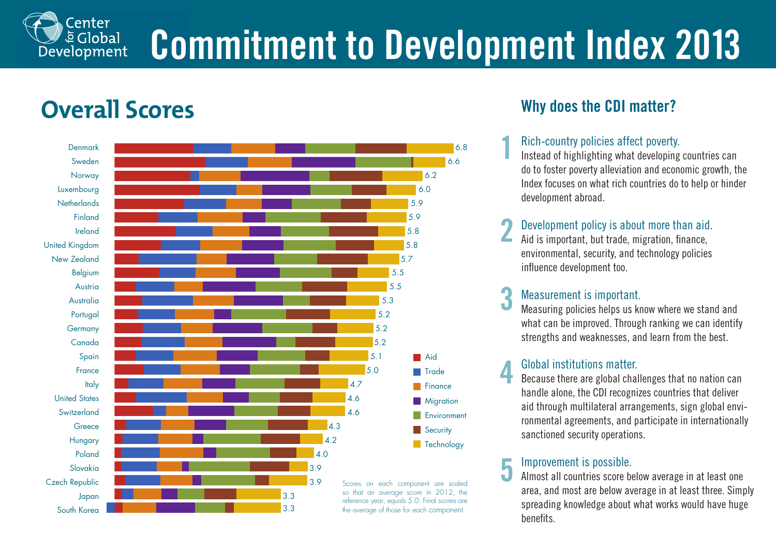# **Commitment to Development Index 2013**

## **Overall Scores**

Center **E** Global Development



### **Why does the CDI matter?**

#### Rich-country policies affect poverty.

**1**

Instead of highlighting what developing countries can do to foster poverty alleviation and economic growth, the Index focuses on what rich countries do to help or hinder development abroad.

#### Development policy is about more than aid. **2**

Aid is important, but trade, migration, finance, environmental, security, and technology policies influence development too.

#### Measurement is important. **3**

Measuring policies helps us know where we stand and what can be improved. Through ranking we can identify strengths and weaknesses, and learn from the best.

#### Global institutions matter. **4**

Because there are global challenges that no nation can handle alone, the CDI recognizes countries that deliver aid through multilateral arrangements, sign global environmental agreements, and participate in internationally sanctioned security operations.

#### Improvement is possible. **5**

Almost all countries score below average in at least one area, and most are below average in at least three. Simply spreading knowledge about what works would have huge benefits.